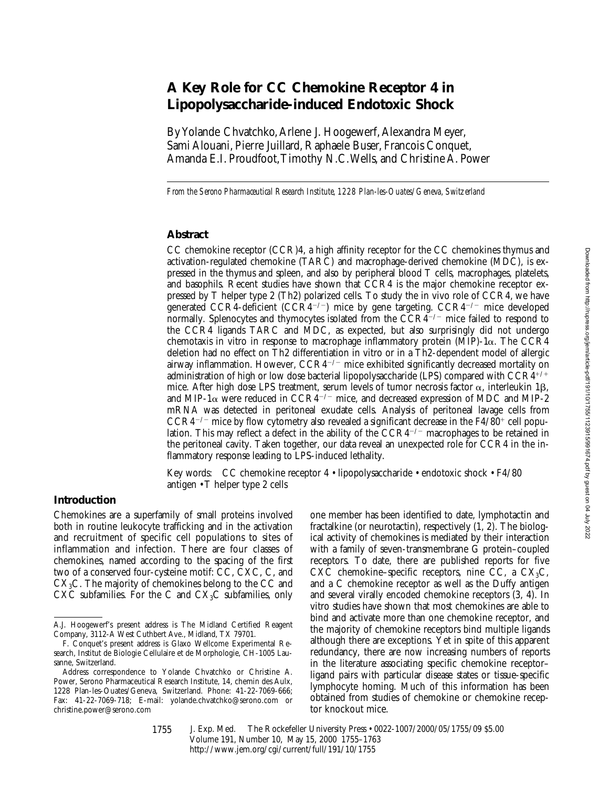# **A Key Role for CC Chemokine Receptor 4 in Lipopolysaccharide-induced Endotoxic Shock**

By Yolande Chvatchko, Arlene J. Hoogewerf, Alexandra Meyer, Sami Alouani, Pierre Juillard, Raphaele Buser, Francois Conquet, Amanda E.I. Proudfoot, Timothy N.C. Wells, and Christine A. Power

*From the Serono Pharmaceutical Research Institute, 1228 Plan-les-Ouates/Geneva, Switzerland*

## **Abstract**

CC chemokine receptor (CCR)4, a high affinity receptor for the CC chemokines thymus and activation-regulated chemokine (TARC) and macrophage-derived chemokine (MDC), is expressed in the thymus and spleen, and also by peripheral blood T cells, macrophages, platelets, and basophils. Recent studies have shown that CCR4 is the major chemokine receptor expressed by T helper type 2 (Th2) polarized cells. To study the in vivo role of CCR4, we have generated CCR4-deficient (CCR4<sup>-/-</sup>) mice by gene targeting. CCR4<sup>-/-</sup> mice developed normally. Splenocytes and thymocytes isolated from the  $\text{CCR4}^{-/-}$  mice failed to respond to the CCR4 ligands TARC and MDC, as expected, but also surprisingly did not undergo chemotaxis in vitro in response to macrophage inflammatory protein  $(MIP)$ -1 $\alpha$ . The CCR4 deletion had no effect on Th2 differentiation in vitro or in a Th2-dependent model of allergic airway inflammation. However,  $CCR4^{-/-}$  mice exhibited significantly decreased mortality on administration of high or low dose bacterial lipopolysaccharide (LPS) compared with  $CCR4^{+/+}$ mice. After high dose LPS treatment, serum levels of tumor necrosis factor  $\alpha$ , interleukin 1 $\beta$ , and MIP-1 $\alpha$  were reduced in CCR4<sup>-/-</sup> mice, and decreased expression of MDC and MIP-2 mRNA was detected in peritoneal exudate cells. Analysis of peritoneal lavage cells from  $CCR4^{-/-}$  mice by flow cytometry also revealed a significant decrease in the  $F4/80^{+}$  cell population. This may reflect a defect in the ability of the  $CCR4^{-/-}$  macrophages to be retained in the peritoneal cavity. Taken together, our data reveal an unexpected role for CCR4 in the inflammatory response leading to LPS-induced lethality.

Key words: CC chemokine receptor 4 • lipopolysaccharide • endotoxic shock • F4/80 antigen • T helper type 2 cells

### **Introduction**

Chemokines are a superfamily of small proteins involved both in routine leukocyte trafficking and in the activation and recruitment of specific cell populations to sites of inflammation and infection. There are four classes of chemokines, named according to the spacing of the first two of a conserved four-cysteine motif: CC, CXC, C, and CX3C. The majority of chemokines belong to the CC and CXC subfamilies. For the C and  $CX<sub>3</sub>C$  subfamilies, only

one member has been identified to date, lymphotactin and fractalkine (or neurotactin), respectively (1, 2). The biological activity of chemokines is mediated by their interaction with a family of seven-transmembrane G protein–coupled receptors. To date, there are published reports for five CXC chemokine–specific receptors, nine CC, a  $CX_3C$ , and a C chemokine receptor as well as the Duffy antigen and several virally encoded chemokine receptors (3, 4). In vitro studies have shown that most chemokines are able to bind and activate more than one chemokine receptor, and the majority of chemokine receptors bind multiple ligands although there are exceptions. Yet in spite of this apparent redundancy, there are now increasing numbers of reports in the literature associating specific chemokine receptor– ligand pairs with particular disease states or tissue-specific lymphocyte homing. Much of this information has been obtained from studies of chemokine or chemokine receptor knockout mice.

A.J. Hoogewerf's present address is The Midland Certified Reagent Company, 3112-A West Cuthbert Ave., Midland, TX 79701.

F. Conquet's present address is Glaxo Wellcome Experimental Research, Institut de Biologie Cellulaire et de Morphologie, CH-1005 Lausanne, Switzerland.

Address correspondence to Yolande Chvatchko or Christine A. Power, Serono Pharmaceutical Research Institute, 14, chemin des Aulx, 1228 Plan-les-Ouates/Geneva, Switzerland. Phone: 41-22-7069-666; Fax: 41-22-7069-718; E-mail: yolande.chvatchko@serono.com or christine.power@serono.com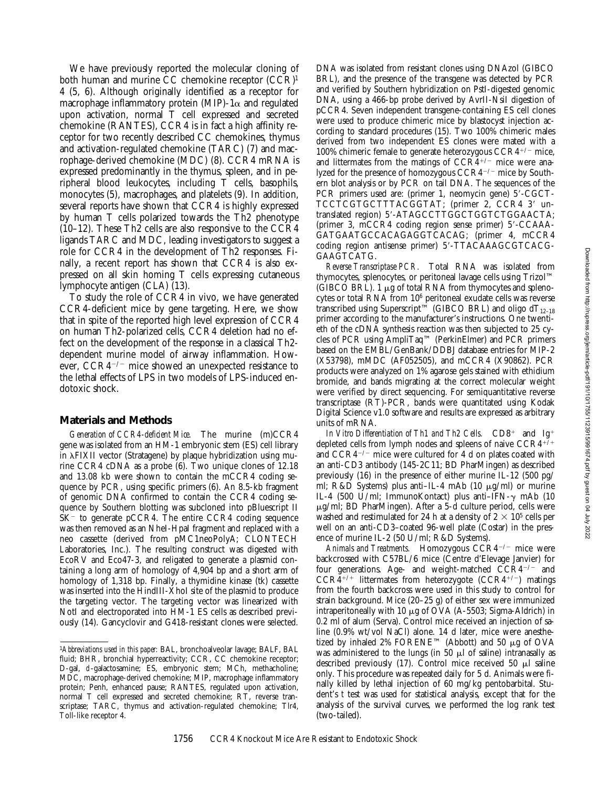We have previously reported the molecular cloning of both human and murine CC chemokine receptor (CCR)1 4 (5, 6). Although originally identified as a receptor for macrophage inflammatory protein (MIP)-1 $\alpha$  and regulated upon activation, normal T cell expressed and secreted chemokine (RANTES), CCR4 is in fact a high affinity receptor for two recently described CC chemokines, thymus and activation-regulated chemokine (TARC) (7) and macrophage-derived chemokine (MDC) (8). CCR4 mRNA is expressed predominantly in the thymus, spleen, and in peripheral blood leukocytes, including T cells, basophils, monocytes (5), macrophages, and platelets (9). In addition, several reports have shown that CCR4 is highly expressed by human T cells polarized towards the Th2 phenotype (10–12). These Th2 cells are also responsive to the CCR4 ligands TARC and MDC, leading investigators to suggest a role for CCR4 in the development of Th2 responses. Finally, a recent report has shown that CCR4 is also expressed on all skin homing T cells expressing cutaneous lymphocyte antigen (CLA) (13).

To study the role of CCR4 in vivo, we have generated CCR4-deficient mice by gene targeting. Here, we show that in spite of the reported high level expression of CCR4 on human Th2-polarized cells, CCR4 deletion had no effect on the development of the response in a classical Th2 dependent murine model of airway inflammation. However,  $CCR4^{-/-}$  mice showed an unexpected resistance to the lethal effects of LPS in two models of LPS-induced endotoxic shock.

# **Materials and Methods**

*Generation of CCR4-deficient Mice.* The murine (m)CCR4 gene was isolated from an HM-1 embryonic stem (ES) cell library in  $\lambda$ FIXII vector (Stratagene) by plaque hybridization using murine CCR4 cDNA as a probe (6). Two unique clones of 12.18 and 13.08 kb were shown to contain the mCCR4 coding sequence by PCR, using specific primers (6). An 8.5-kb fragment of genomic DNA confirmed to contain the CCR4 coding sequence by Southern blotting was subcloned into pBluescript II  $SK^-$  to generate pCCR4. The entire CCR4 coding sequence was then removed as an NheI-HpaI fragment and replaced with a neo cassette (derived from pMC1neoPolyA; CLONTECH Laboratories, Inc.). The resulting construct was digested with EcoRV and Eco47-3, and religated to generate a plasmid containing a long arm of homology of 4,904 bp and a short arm of homology of 1,318 bp. Finally, a thymidine kinase (tk) cassette was inserted into the HindIII-XhoI site of the plasmid to produce the targeting vector. The targeting vector was linearized with NotI and electroporated into HM-1 ES cells as described previously (14). Gancyclovir and G418-resistant clones were selected.

DNA was isolated from resistant clones using DNAzol (GIBCO BRL), and the presence of the transgene was detected by PCR and verified by Southern hybridization on PstI-digested genomic DNA, using a 466-bp probe derived by AvrII-NsiI digestion of pCCR4. Seven independent transgene-containing ES cell clones were used to produce chimeric mice by blastocyst injection according to standard procedures (15). Two 100% chimeric males derived from two independent ES clones were mated with a 100% chimeric female to generate heterozygous  $CCR4^{+/-}$  mice, and littermates from the matings of  $CCR<sub>4</sub><sup>+/-</sup>$  mice were analyzed for the presence of homozygous  $CCR4^{-/-}$  mice by Southern blot analysis or by PCR on tail DNA. The sequences of the PCR primers used are: (primer 1, neomycin gene) 5'-CGCT-TCCTCGTGCTTTACGGTAT; (primer 2, CCR4 3' untranslated region) 5'-ATAGCCTTGGCTGGTCTGGAACTA; (primer 3, mCCR4 coding region sense primer)  $5'-{\rm CCAAA}$ -GATGAATGCCACAGAGGTCACAG; (primer 4, mCCR4 coding region antisense primer) 5'-TTACAAAGCGTCACG-GAAGTCATG.

*Reverse Transcriptase PCR.* Total RNA was isolated from thymocytes, splenocytes, or peritoneal lavage cells using Trizol™ (GIBCO BRL).  $1 \mu$ g of total RNA from thymocytes and splenocytes or total RNA from 106 peritoneal exudate cells was reverse transcribed using Superscript<sup>™</sup> (GIBCO BRL) and oligo dT<sub>12–18</sub> primer according to the manufacturer's instructions. One twentieth of the cDNA synthesis reaction was then subjected to 25 cycles of PCR using AmpliTaq™ (PerkinElmer) and PCR primers based on the EMBL/GenBank/DDBJ database entries for MIP-2 (X53798), mMDC (AF052505), and mCCR4 (X90862). PCR products were analyzed on 1% agarose gels stained with ethidium bromide, and bands migrating at the correct molecular weight were verified by direct sequencing. For semiquantitative reverse transcriptase (RT)-PCR, bands were quantitated using Kodak Digital Science v1.0 software and results are expressed as arbitrary units of mRNA.

*In Vitro Differentiation of Th1 and Th2 Cells.* CD8<sup>+</sup> and Ig<sup>+</sup> depleted cells from lymph nodes and spleens of naive  $CCR4^{+/+}$ and  $CCR4^{-/-}$  mice were cultured for 4 d on plates coated with an anti-CD3 antibody (145-2C11; BD PharMingen) as described previously (16) in the presence of either murine IL-12 (500 pg/ ml; R&D Systems) plus anti-IL-4 mAb (10 μg/ml) or murine IL-4 (500 U/ml; ImmunoKontact) plus anti-IFN- $\gamma$  mAb (10  $\mu$ g/ml; BD PharMingen). After a 5-d culture period, cells were washed and restimulated for 24 h at a density of  $2 \times 10^5$  cells per well on an anti-CD3–coated 96-well plate (Costar) in the presence of murine IL-2 (50 U/ml; R&D Systems).

Animals and Treatments. Homozygous CCR4<sup>-/-</sup> mice were backcrossed with C57BL/6 mice (Centre d'Elevage Janvier) for four generations. Age- and weight-matched  $CCR4^{-/-}$  and  $CCR4^{+/+}$  littermates from heterozygote  $(CCR4^{+/-})$  matings from the fourth backcross were used in this study to control for strain background. Mice (20–25 g) of either sex were immunized intraperitoneally with 10  $\mu$ g of OVA (A-5503; Sigma-Aldrich) in 0.2 ml of alum (Serva). Control mice received an injection of saline (0.9% wt/vol NaCl) alone. 14 d later, mice were anesthetized by inhaled 2% FORENE<sup>™</sup> (Abbott) and 50  $\mu$ g of OVA was administered to the lungs (in 50  $\mu$ l of saline) intranasally as described previously  $(17)$ . Control mice received 50  $\mu$ l saline only. This procedure was repeated daily for 5 d. Animals were finally killed by lethal injection of 60 mg/kg pentobarbital. Student's *t* test was used for statistical analysis, except that for the analysis of the survival curves, we performed the log rank test (two-tailed).

<sup>1</sup>*Abbreviations used in this paper:* BAL, bronchoalveolar lavage; BALF, BAL fluid; BHR, bronchial hyperreactivity; CCR, CC chemokine receptor; D-gal, d-galactosamine; ES, embryonic stem; MCh, methacholine; MDC, macrophage-derived chemokine; MIP, macrophage inflammatory protein; Penh, enhanced pause; RANTES, regulated upon activation, normal T cell expressed and secreted chemokine; RT, reverse transcriptase; TARC, thymus and activation-regulated chemokine; Tlr4, Toll-like receptor 4.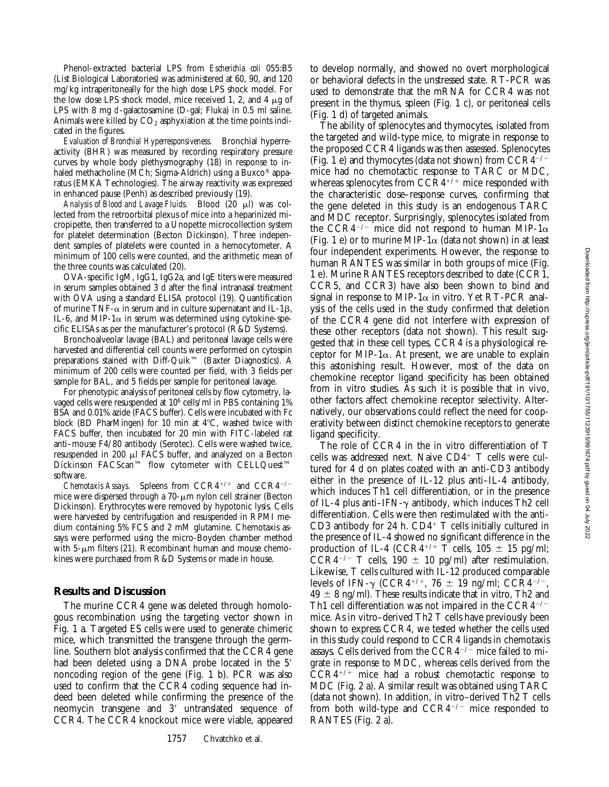Phenol-extracted bacterial LPS from *Escherichia coli* 055:B5 (List Biological Laboratories) was administered at 60, 90, and 120 mg/kg intraperitoneally for the high dose LPS shock model. For the low dose LPS shock model, mice received 1, 2, and 4  $\mu$ g of LPS with 8 mg d-galactosamine (D-gal; Fluka) in 0.5 ml saline. Animals were killed by  $CO<sub>2</sub>$  asphyxiation at the time points indicated in the figures.

*Evaluation of Bronchial Hyperresponsiveness.* Bronchial hyperreactivity (BHR) was measured by recording respiratory pressure curves by whole body plethysmography (18) in response to inhaled methacholine (MCh; Sigma-Aldrich) using a Buxco® apparatus (EMKA Technologies). The airway reactivity was expressed in enhanced pause (Penh) as described previously (19).

Analysis of Blood and Lavage Fluids. Blood (20 µl) was collected from the retroorbital plexus of mice into a heparinized micropipette, then transferred to a Unopette microcollection system for platelet determination (Becton Dickinson). Three independent samples of platelets were counted in a hemocytometer. A minimum of 100 cells were counted, and the arithmetic mean of the three counts was calculated (20).

OVA-specific IgM, IgG1, IgG2a, and IgE titers were measured in serum samples obtained 3 d after the final intranasal treatment with OVA using a standard ELISA protocol (19). Quantification of murine TNF- $\alpha$  in serum and in culture supernatant and IL-1 $\beta$ , IL-6, and MIP-1 $\alpha$  in serum was determined using cytokine-specific ELISAs as per the manufacturer's protocol (R&D Systems).

Bronchoalveolar lavage (BAL) and peritoneal lavage cells were harvested and differential cell counts were performed on cytospin preparations stained with Diff-Quik™ (Baxter Diagnostics). A minimum of 200 cells were counted per field, with 3 fields per sample for BAL, and 5 fields per sample for peritoneal lavage.

For phenotypic analysis of peritoneal cells by flow cytometry, lavaged cells were resuspended at 106 cells/ml in PBS containing 1% BSA and 0.01% azide (FACS buffer). Cells were incubated with Fc block (BD PharMingen) for 10 min at  $4^{\circ}$ C, washed twice with FACS buffer, then incubated for 20 min with FITC-labeled rat anti–mouse F4/80 antibody (Serotec). Cells were washed twice, resuspended in 200 ml FACS buffer, and analyzed on a Becton Dickinson FACScan™ flow cytometer with CELLQuest™ software.

*Chemotaxis Assays.* Spleens from  $CCR4^{+/+}$  and  $CCR4^{-/-}$ mice were dispersed through a  $70 - \mu m$  nylon cell strainer (Becton Dickinson). Erythrocytes were removed by hypotonic lysis. Cells were harvested by centrifugation and resuspended in RPMI medium containing 5% FCS and 2 mM glutamine. Chemotaxis assays were performed using the micro-Boyden chamber method with 5- $\mu$ m filters (21). Recombinant human and mouse chemokines were purchased from R&D Systems or made in house.

#### **Results and Discussion**

The murine CCR4 gene was deleted through homologous recombination using the targeting vector shown in Fig. 1 a. Targeted ES cells were used to generate chimeric mice, which transmitted the transgene through the germline. Southern blot analysis confirmed that the CCR4 gene had been deleted using a DNA probe located in the 5' noncoding region of the gene (Fig. 1 b). PCR was also used to confirm that the CCR4 coding sequence had indeed been deleted while confirming the presence of the neomycin transgene and 3' untranslated sequence of CCR4. The CCR4 knockout mice were viable, appeared

to develop normally, and showed no overt morphological or behavioral defects in the unstressed state. RT-PCR was used to demonstrate that the mRNA for CCR4 was not present in the thymus, spleen (Fig. 1 c), or peritoneal cells (Fig. 1 d) of targeted animals.

The ability of splenocytes and thymocytes, isolated from the targeted and wild-type mice, to migrate in response to the proposed CCR4 ligands was then assessed. Splenocytes (Fig. 1 e) and thymocytes (data not shown) from  $CCR4^{-/-}$ mice had no chemotactic response to TARC or MDC, whereas splenocytes from  $\text{CCR4}^{+/+}$  mice responded with the characteristic dose–response curves, confirming that the gene deleted in this study is an endogenous TARC and MDC receptor. Surprisingly, splenocytes isolated from the CCR4<sup>-/-</sup> mice did not respond to human MIP-1 $\alpha$ (Fig. 1 e) or to murine MIP-1 $\alpha$  (data not shown) in at least four independent experiments. However, the response to human RANTES was similar in both groups of mice (Fig. 1 e). Murine RANTES receptors described to date (CCR1, CCR5, and CCR3) have also been shown to bind and signal in response to MIP-1 $\alpha$  in vitro. Yet RT-PCR analysis of the cells used in the study confirmed that deletion of the CCR4 gene did not interfere with expression of these other receptors (data not shown). This result suggested that in these cell types, CCR4 is a physiological receptor for MIP-1 $\alpha$ . At present, we are unable to explain this astonishing result. However, most of the data on chemokine receptor ligand specificity has been obtained from in vitro studies. As such it is possible that in vivo, other factors affect chemokine receptor selectivity. Alternatively, our observations could reflect the need for cooperativity between distinct chemokine receptors to generate ligand specificity.

The role of CCR4 in the in vitro differentiation of T cells was addressed next. Naive  $CD4^+$  T cells were cultured for 4 d on plates coated with an anti-CD3 antibody either in the presence of IL-12 plus anti–IL-4 antibody, which induces Th1 cell differentiation, or in the presence of IL-4 plus anti–IFN- $\gamma$  antibody, which induces Th2 cell differentiation. Cells were then restimulated with the anti-CD3 antibody for 24 h.  $CD4^+$  T cells initially cultured in the presence of IL-4 showed no significant difference in the production of IL-4 (CCR4<sup>+/+</sup> T cells,  $105 \pm 15$  pg/ml; CCR4<sup>-/-</sup> T cells, 190  $\pm$  10 pg/ml) after restimulation. Likewise, T cells cultured with IL-12 produced comparable levels of IFN- $\gamma$  (CCR4<sup>+/+</sup>, 76  $\pm$  19 ng/ml; CCR4<sup>-/-</sup>,  $49 \pm 8$  ng/ml). These results indicate that in vitro, Th2 and Th1 cell differentiation was not impaired in the  $CCR4^{-/-}$ mice. As in vitro–derived Th2 T cells have previously been shown to express CCR4, we tested whether the cells used in this study could respond to CCR4 ligands in chemotaxis assays. Cells derived from the CCR4 $^{-/-}$  mice failed to migrate in response to MDC, whereas cells derived from the  $CCR4^{+/+}$  mice had a robust chemotactic response to MDC (Fig. 2 a). A similar result was obtained using TARC (data not shown). In addition, in vitro–derived Th2 T cells from both wild-type and  $CCR4^{-/-}$  mice responded to RANTES (Fig. 2 a).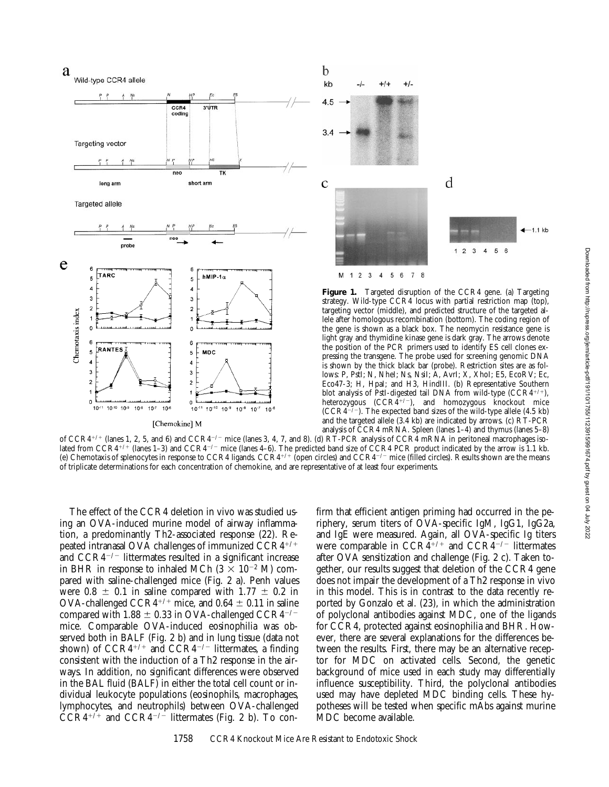



Figure 1. Targeted disruption of the CCR4 gene. (a) Targeting strategy. Wild-type CCR4 locus with partial restriction map (top), targeting vector (middle), and predicted structure of the targeted allele after homologous recombination (bottom). The coding region of the gene is shown as a black box. The neomycin resistance gene is light gray and thymidine kinase gene is dark gray. The arrows denote the position of the PCR primers used to identify ES cell clones expressing the transgene. The probe used for screening genomic DNA is shown by the thick black bar (probe). Restriction sites are as follows: P, PstI; N, NheI; Ns, NsiI; A, AvrI; X, XhoI; E5, EcoRV; Ec, Eco47-3; H, HpaI; and H3, HindIII. (b) Representative Southern blot analysis of PstI-digested tail DNA from wild-type  $(CCR4^{+/+)}$ , heterozygous  $(CCR\widetilde{4}^{+/-})$ , and homozygous knockout mice  $(CCR\tilde{4}^{-7})$ . The expected band sizes of the wild-type allele (4.5 kb) and the targeted allele (3.4 kb) are indicated by arrows. (c) RT-PCR analysis of CCR4 mRNA. Spleen (lanes 1–4) and thymus (lanes 5–8)

of  $CCR^{4/+}$  (lanes 1, 2, 5, and 6) and  $CCR^{+/-}$  mice (lanes 3, 4, 7, and 8). (d)  $R\text{T-PCR}$  analysis of  $CCR^4$  mRNA in peritoneal macrophages isolated from  $CCR^{4+/-}$  (lanes 1–3) and  $CCR^{4--}$  mice (lanes 4–6). The predicted band size of CCR4 PCR product indicated by the arrow is 1.1 kb. (e) Chemotaxis of splenocytes in response to CCR4 ligands. CCR4<sup>+/+</sup> (open circles) and CCR4<sup>-/-</sup> mice (filled circles). Results shown are the means of triplicate determinations for each concentration of chemokine, and are representative of at least four experiments.

The effect of the CCR4 deletion in vivo was studied using an OVA-induced murine model of airway inflammation, a predominantly Th2-associated response (22). Repeated intranasal OVA challenges of immunized CCR4+/+ and  $CCR4^{-/-}$  littermates resulted in a significant increase in BHR in response to inhaled MCh  $(3 \times 10^{-2} \text{ M})$  compared with saline-challenged mice (Fig. 2 a). Penh values were  $0.8 \pm 0.1$  in saline compared with  $1.77 \pm 0.2$  in OVA-challenged CCR4<sup>+/+</sup> mice, and  $0.64 \pm 0.11$  in saline compared with 1.88  $\pm$  0.33 in OVA-challenged CCR4<sup>-/-</sup> mice. Comparable OVA-induced eosinophilia was observed both in BALF (Fig. 2 b) and in lung tissue (data not shown) of  $CCR4^{+/+}$  and  $CCR4^{-/-}$  littermates, a finding consistent with the induction of a Th2 response in the airways. In addition, no significant differences were observed in the BAL fluid (BALF) in either the total cell count or individual leukocyte populations (eosinophils, macrophages, lymphocytes, and neutrophils) between OVA-challenged  $\text{CCR4}^{+/+}$  and  $\text{CCR4}^{-/-}$  littermates (Fig. 2 b). To con-

firm that efficient antigen priming had occurred in the periphery, serum titers of OVA-specific IgM, IgG1, IgG2a, and IgE were measured. Again, all OVA-specific Ig titers were comparable in  $CCR\ddot{4}^{+/+}$  and  $CCR\ddot{4}^{-/-}$  littermates after OVA sensitization and challenge (Fig. 2 c). Taken together, our results suggest that deletion of the CCR4 gene does not impair the development of a Th2 response in vivo in this model. This is in contrast to the data recently reported by Gonzalo et al. (23), in which the administration of polyclonal antibodies against MDC, one of the ligands for CCR4, protected against eosinophilia and BHR. However, there are several explanations for the differences between the results. First, there may be an alternative receptor for MDC on activated cells. Second, the genetic background of mice used in each study may differentially influence susceptibility. Third, the polyclonal antibodies used may have depleted MDC binding cells. These hypotheses will be tested when specific mAbs against murine MDC become available.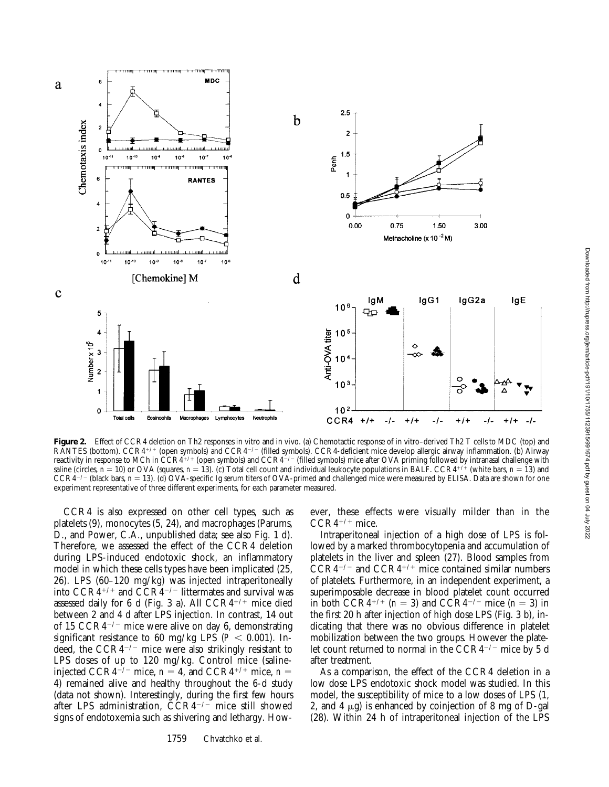

Figure 2. Effect of CCR4 deletion on Th2 responses in vitro and in vivo. (a) Chemotactic response of in vitro-derived Th2 T cells to MDC (top) and RANTES (bottom).  $CCR^{4/+}$  (open symbols) and  $CCR^{+/-}$  (filled symbols). CCR4-deficient mice develop allergic airway inflammation. (b) Airway reactivity in response to MCh in  $\text{CCR4}^{+/+}$  (open symbols) and  $\text{CCR4}^{+/-}$  (filled symbols) mice after OVA priming followed by intranasal challenge with saline (circles,  $n = 10$ ) or OVA (squares,  $n = 13$ ). (c) Total cell count and individual leukocyte populations in BALF. CCR4<sup>+/4</sup> (white bars,  $n = 13$ ) and  $CCR4^{-/-}$  (black bars,  $n = 13$ ). (d) OVA-specific Ig serum titers of OVA-primed and challenged mice were measured by ELISA. Data are shown for one experiment representative of three different experiments, for each parameter measured.

CCR4 is also expressed on other cell types, such as platelets (9), monocytes (5, 24), and macrophages (Parums, D., and Power, C.A., unpublished data; see also Fig. 1 d). Therefore, we assessed the effect of the CCR4 deletion during LPS-induced endotoxic shock, an inflammatory model in which these cells types have been implicated (25, 26). LPS (60–120 mg/kg) was injected intraperitoneally into  $CCR4^{+/+}$  and  $CCR4^{-/-}$  littermates and survival was assessed daily for 6 d (Fig. 3 a). All  $CCR4^{+/+}$  mice died between 2 and 4 d after LPS injection. In contrast, 14 out of 15  $CCR4^{-/-}$  mice were alive on day 6, demonstrating significant resistance to 60 mg/kg LPS ( $P < 0.001$ ). Indeed, the  $CCR4^{-/-}$  mice were also strikingly resistant to LPS doses of up to 120 mg/kg. Control mice (salineinjected CCR4<sup>-/-</sup> mice,  $n = 4$ , and CCR4<sup>+/+</sup> mice,  $n =$ 4) remained alive and healthy throughout the 6-d study (data not shown). Interestingly, during the first few hours after LPS administration,  $\overline{CCR4^{-/-}}$  mice still showed signs of endotoxemia such as shivering and lethargy. How-

ever, these effects were visually milder than in the  $CCR4^{+/+}$  mice.

Intraperitoneal injection of a high dose of LPS is followed by a marked thrombocytopenia and accumulation of platelets in the liver and spleen (27). Blood samples from  $CCR4^{-/-}$  and  $CCR4^{+/+}$  mice contained similar numbers of platelets. Furthermore, in an independent experiment, a superimposable decrease in blood platelet count occurred in both CCR4<sup>+/+</sup> ( $n = 3$ ) and CCR4<sup>-/-</sup> mice ( $n = 3$ ) in the first 20 h after injection of high dose LPS (Fig. 3 b), indicating that there was no obvious difference in platelet mobilization between the two groups. However the platelet count returned to normal in the  $CCR4^{-/-}$  mice by 5 d after treatment.

As a comparison, the effect of the CCR4 deletion in a low dose LPS endotoxic shock model was studied. In this model, the susceptibility of mice to a low doses of LPS (1, 2, and 4  $\mu$ g) is enhanced by coinjection of 8 mg of D-gal (28). Within 24 h of intraperitoneal injection of the LPS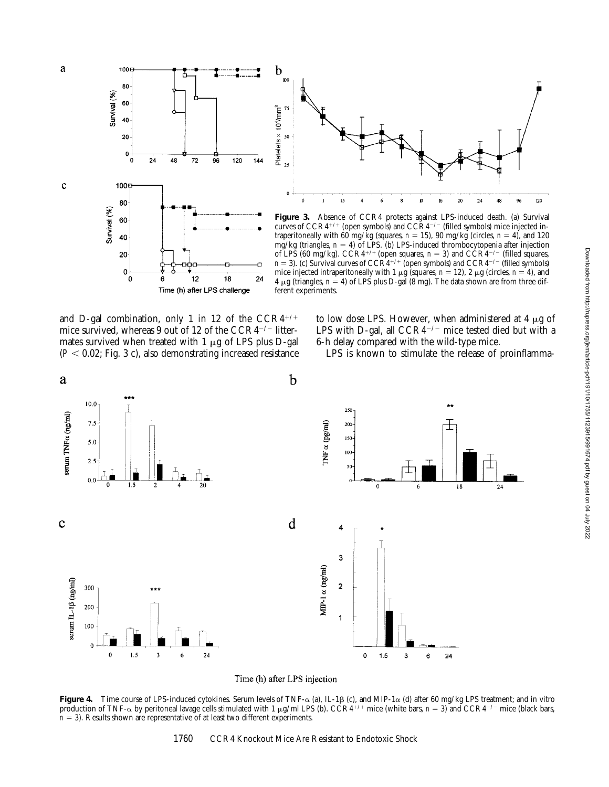



Figure 3. Absence of CCR4 protects against LPS-induced death. (a) Survival curves of  $CCR4^{+/+}$  (open symbols) and  $CCR4^{-/-}$  (filled symbols) mice injected intraperitoneally with 60 mg/kg (squares,  $n = 15$ ), 90 mg/kg (circles,  $n = 4$ ), and 120 mg/kg (triangles,  $n = 4$ ) of LPS. (b) LPS-induced thrombocytopenia after injection of LPS (60 mg/kg). CCR4<sup>+/+</sup> (open squares,  $n = 3$ ) and CCR4<sup>-/-</sup> (filled squares,  $n = 3$ ). (c) Survival curves of  $CCR4^{+/+}$  (open symbols) and  $CCR4^{-/-}$  (filled symbols) mice injected intraperitoneally with 1  $\mu$ g (squares, *n* = 12), 2  $\mu$ g (circles, *n* = 4), and  $4 \mu$ g (triangles,  $n = 4$ ) of LPS plus D-gal (8 mg). The data shown are from three different experiments.

and D-gal combination, only 1 in 12 of the  $CCR4^{+/+}$ mice survived, whereas 9 out of 12 of the  $CCR4^{-/-}$  littermates survived when treated with  $1 \mu$ g of LPS plus D-gal  $(P < 0.02$ ; Fig. 3 c), also demonstrating increased resistance

to low dose LPS. However, when administered at 4  $\mu$ g of LPS with D-gal, all  $CCR4^{-/-}$  mice tested died but with a 6-h delay compared with the wild-type mice.

LPS is known to stimulate the release of proinflamma-



Time (h) after LPS injection

**Figure 4.** Time course of LPS-induced cytokines. Serum levels of TNF- $\alpha$  (a), IL-1 $\beta$  (c), and MIP-1 $\alpha$  (d) after 60 mg/kg LPS treatment; and in vitro production of TNF- $\alpha$  by peritoneal lavage cells stimulated with 1  $\mu$ g/ml LPS (b). CCR4<sup>+/+</sup> mice (white bars, *n* = 3) and CCR4<sup>-/-</sup> mice (black bars,  $n = 3$ ). Results shown are representative of at least two different experiments.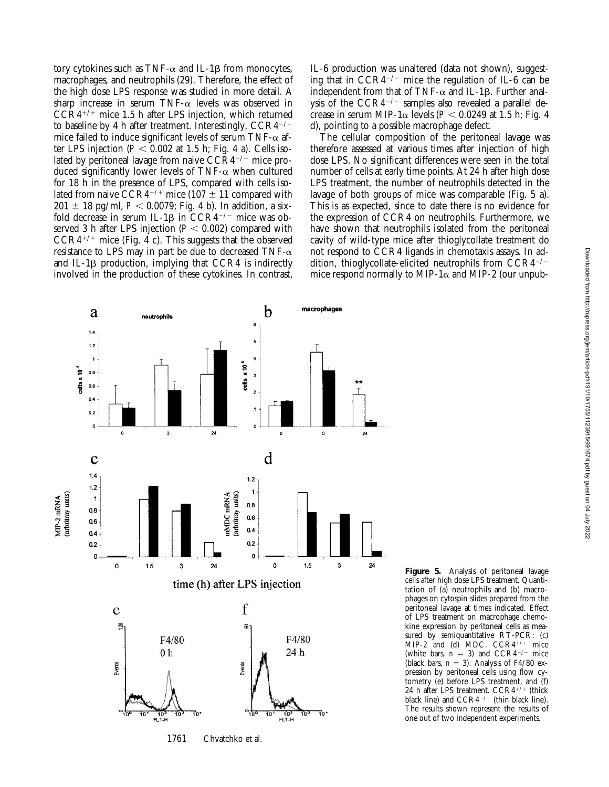tory cytokines such as TNF- $\alpha$  and IL-1 $\beta$  from monocytes, macrophages, and neutrophils (29). Therefore, the effect of the high dose LPS response was studied in more detail. A sharp increase in serum TNF- $\alpha$  levels was observed in  $CCR4^{+/+}$  mice 1.5 h after LPS injection, which returned to baseline by 4 h after treatment. Interestingly,  $CCR4^{-/-}$ mice failed to induce significant levels of serum TNF- $\alpha$  after LPS injection  $(P < 0.002$  at 1.5 h; Fig. 4 a). Cells isolated by peritoneal lavage from naive  $CCR4^{-/-}$  mice produced significantly lower levels of TNF- $\alpha$  when cultured for 18 h in the presence of LPS, compared with cells isolated from naive CCR4<sup>+/+</sup> mice (107  $\pm$  11 compared with  $201 \pm 18$  pg/ml,  $P < 0.0079$ ; Fig. 4 b). In addition, a sixfold decrease in serum IL-1 $\beta$  in CCR4<sup>-/-</sup> mice was observed 3 h after LPS injection  $(P < 0.002)$  compared with  $CCR4^{+/+}$  mice (Fig. 4 c). This suggests that the observed resistance to LPS may in part be due to decreased TNF- $\alpha$ and IL-1 $\beta$  production, implying that CCR4 is indirectly involved in the production of these cytokines. In contrast,

IL-6 production was unaltered (data not shown), suggesting that in  $CCR4^{-/-}$  mice the regulation of IL-6 can be independent from that of TNF- $\alpha$  and IL-1 $\beta$ . Further analysis of the  $CCR4^{-/-}$  samples also revealed a parallel decrease in serum MIP-1 $\alpha$  levels ( $P < 0.0249$  at 1.5 h; Fig. 4 d), pointing to a possible macrophage defect.

The cellular composition of the peritoneal lavage was therefore assessed at various times after injection of high dose LPS. No significant differences were seen in the total number of cells at early time points. At 24 h after high dose LPS treatment, the number of neutrophils detected in the lavage of both groups of mice was comparable (Fig. 5 a). This is as expected, since to date there is no evidence for the expression of CCR4 on neutrophils. Furthermore, we have shown that neutrophils isolated from the peritoneal cavity of wild-type mice after thioglycollate treatment do not respond to CCR4 ligands in chemotaxis assays. In addition, thioglycollate-elicited neutrophils from  $CCR4^{-/-}$ mice respond normally to MIP-1 $\alpha$  and MIP-2 (our unpub-



1761 Chvatchko et al.

**Figure 5.** Analysis of peritoneal lavage cells after high dose LPS treatment. Quantitation of (a) neutrophils and (b) macrophages on cytospin slides prepared from the peritoneal lavage at times indicated. Effect of LPS treatment on macrophage chemokine expression by peritoneal cells as measured by semiquantitative RT-PCR: (c) MIP-2 and (d) MDC.  $CCR4^{+/+}$  mice (white bars,  $n = 3$ ) and CCR4<sup>-/-</sup> mice (black bars,  $n = 3$ ). Analysis of F4/80 expression by peritoneal cells using flow cytometry (e) before LPS treatment, and (f) 24 h after LPS treatment.  $CCR4^{+/+}$  (thick black line) and  $CCR4^{-/-}$  (thin black line). The results shown represent the results of one out of two independent experiments.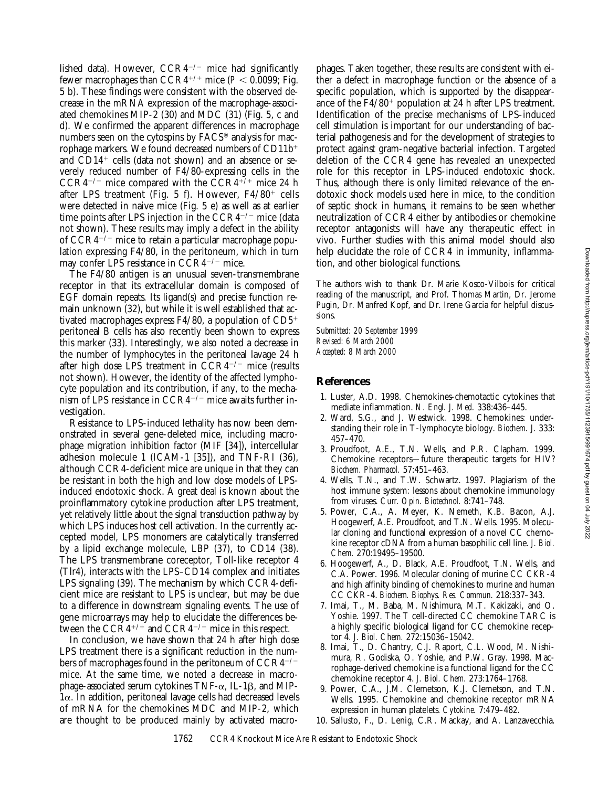lished data). However,  $CCR4^{-/-}$  mice had significantly fewer macrophages than  $CCR4^{+/+}$  mice ( $P < 0.0099$ ; Fig. 5 b). These findings were consistent with the observed decrease in the mRNA expression of the macrophage-associated chemokines MIP-2 (30) and MDC (31) (Fig. 5, c and d). We confirmed the apparent differences in macrophage numbers seen on the cytospins by FACS® analysis for macrophage markers. We found decreased numbers of  $CD11b<sup>+</sup>$ and  $CD14<sup>+</sup>$  cells (data not shown) and an absence or severely reduced number of F4/80-expressing cells in the CCR4<sup>-/-</sup> mice compared with the CCR4<sup>+/+</sup> mice 24 h after LPS treatment (Fig. 5 f). However,  $F4/80^+$  cells were detected in naive mice (Fig. 5 e) as well as at earlier time points after LPS injection in the  $CCR4^{-/-}$  mice (data not shown). These results may imply a defect in the ability of  $CCR4^{-/-}$  mice to retain a particular macrophage population expressing F4/80, in the peritoneum, which in turn may confer LPS resistance in  $CCR4^{-/-}$  mice.

The F4/80 antigen is an unusual seven-transmembrane receptor in that its extracellular domain is composed of EGF domain repeats. Its ligand(s) and precise function remain unknown (32), but while it is well established that activated macrophages express  $F4/80$ , a population of  $CD5<sup>+</sup>$ peritoneal B cells has also recently been shown to express this marker (33). Interestingly, we also noted a decrease in the number of lymphocytes in the peritoneal lavage 24 h after high dose LPS treatment in  $\tilde{C}CR4^{-/-}$  mice (results not shown). However, the identity of the affected lymphocyte population and its contribution, if any, to the mechanism of LPS resistance in  $CCR4^{-/-}$  mice awaits further investigation.

Resistance to LPS-induced lethality has now been demonstrated in several gene-deleted mice, including macrophage migration inhibition factor (MIF [34]), intercellular adhesion molecule 1 (ICAM-1 [35]), and TNF-RI (36), although CCR4-deficient mice are unique in that they can be resistant in both the high and low dose models of LPSinduced endotoxic shock. A great deal is known about the proinflammatory cytokine production after LPS treatment, yet relatively little about the signal transduction pathway by which LPS induces host cell activation. In the currently accepted model, LPS monomers are catalytically transferred by a lipid exchange molecule, LBP (37), to CD14 (38). The LPS transmembrane coreceptor, Toll-like receptor 4 (Tlr4), interacts with the LPS–CD14 complex and initiates LPS signaling (39). The mechanism by which CCR4-deficient mice are resistant to LPS is unclear, but may be due to a difference in downstream signaling events. The use of gene microarrays may help to elucidate the differences between the  $CCRA^{+/+}$  and  $CCR4^{-/-}$  mice in this respect.

In conclusion, we have shown that 24 h after high dose LPS treatment there is a significant reduction in the numbers of macrophages found in the peritoneum of  $CCR4^{-/-}$ mice. At the same time, we noted a decrease in macrophage-associated serum cytokines  $TNF-\alpha$ , IL-1 $\beta$ , and MIP- $1\alpha$ . In addition, peritoneal lavage cells had decreased levels of mRNA for the chemokines MDC and MIP-2, which are thought to be produced mainly by activated macro-

phages. Taken together, these results are consistent with either a defect in macrophage function or the absence of a specific population, which is supported by the disappearance of the  $F4/80^+$  population at 24 h after LPS treatment. Identification of the precise mechanisms of LPS-induced cell stimulation is important for our understanding of bacterial pathogenesis and for the development of strategies to protect against gram-negative bacterial infection. Targeted deletion of the CCR4 gene has revealed an unexpected role for this receptor in LPS-induced endotoxic shock. Thus, although there is only limited relevance of the endotoxic shock models used here in mice, to the condition of septic shock in humans, it remains to be seen whether neutralization of CCR4 either by antibodies or chemokine receptor antagonists will have any therapeutic effect in vivo. Further studies with this animal model should also help elucidate the role of CCR4 in immunity, inflammation, and other biological functions.

The authors wish to thank Dr. Marie Kosco-Vilbois for critical reading of the manuscript, and Prof. Thomas Martin, Dr. Jerome Pugin, Dr. Manfred Kopf, and Dr. Irene Garcia for helpful discussions.

*Submitted: 20 September 1999 Revised: 6 March 2000 Accepted: 8 March 2000*

# **References**

- 1. Luster, A.D. 1998. Chemokines-chemotactic cytokines that mediate inflammation. *N. Engl. J. Med.* 338:436–445.
- 2. Ward, S.G., and J. Westwick. 1998. Chemokines: understanding their role in T-lymphocyte biology. *Biochem. J.* 333: 457–470.
- 3. Proudfoot, A.E., T.N. Wells, and P.R. Clapham. 1999. Chemokine receptors—future therapeutic targets for HIV? *Biochem. Pharmacol.* 57:451–463.
- 4. Wells, T.N., and T.W. Schwartz. 1997. Plagiarism of the host immune system: lessons about chemokine immunology from viruses. *Curr. Opin. Biotechnol.* 8:741–748.
- 5. Power, C.A., A. Meyer, K. Nemeth, K.B. Bacon, A.J. Hoogewerf, A.E. Proudfoot, and T.N. Wells. 1995. Molecular cloning and functional expression of a novel CC chemokine receptor cDNA from a human basophilic cell line. *J. Biol. Chem.* 270:19495–19500.
- 6. Hoogewerf, A., D. Black, A.E. Proudfoot, T.N. Wells, and C.A. Power. 1996. Molecular cloning of murine CC CKR-4 and high affinity binding of chemokines to murine and human CC CKR-4. *Biochem. Biophys. Res. Commun.* 218:337–343.
- 7. Imai, T., M. Baba, M. Nishimura, M.T. Kakizaki, and O. Yoshie. 1997. The T cell-directed CC chemokine TARC is a highly specific biological ligand for CC chemokine receptor 4. *J. Biol. Chem.* 272:15036–15042.
- 8. Imai, T., D. Chantry, C.J. Raport, C.L. Wood, M. Nishimura, R. Godiska, O. Yoshie, and P.W. Gray. 1998. Macrophage-derived chemokine is a functional ligand for the CC chemokine receptor 4. *J. Biol. Chem.* 273:1764–1768.
- 9. Power, C.A., J.M. Clemetson, K.J. Clemetson, and T.N. Wells. 1995. Chemokine and chemokine receptor mRNA expression in human platelets. *Cytokine.* 7:479–482.
- 10. Sallusto, F., D. Lenig, C.R. Mackay, and A. Lanzavecchia.